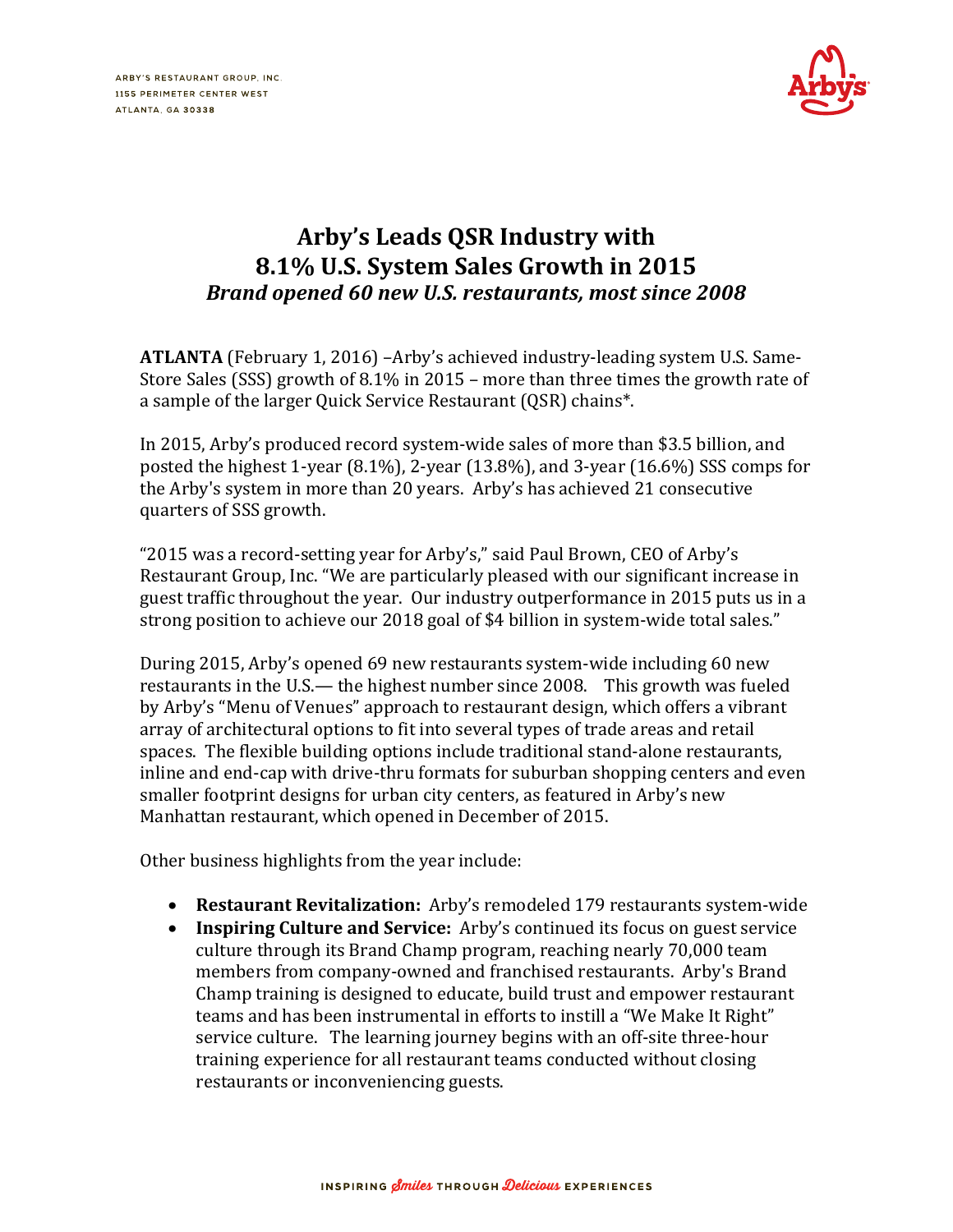

## **Arby's Leads QSR Industry with 8.1% U.S. System Sales Growth in 2015**  *Brand opened 60 new U.S. restaurants, most since 2008*

**ATLANTA** (February 1, 2016) –Arby's achieved industry-leading system U.S. Same-Store Sales (SSS) growth of 8.1% in 2015 – more than three times the growth rate of a sample of the larger Quick Service Restaurant (QSR) chains\*.

In 2015, Arby's produced record system-wide sales of more than \$3.5 billion, and posted the highest 1-year (8.1%), 2-year (13.8%), and 3-year (16.6%) SSS comps for the Arby's system in more than 20 years. Arby's has achieved 21 consecutive quarters of SSS growth.

"2015 was a record-setting year for Arby's," said Paul Brown, CEO of Arby's Restaurant Group, Inc. "We are particularly pleased with our significant increase in guest traffic throughout the year. Our industry outperformance in 2015 puts us in a strong position to achieve our 2018 goal of \$4 billion in system-wide total sales."

During 2015, Arby's opened 69 new restaurants system-wide including 60 new restaurants in the U.S.— the highest number since 2008. This growth was fueled by Arby's "Menu of Venues" approach to restaurant design, which offers a vibrant array of architectural options to fit into several types of trade areas and retail spaces. The flexible building options include traditional stand-alone restaurants, inline and end-cap with drive-thru formats for suburban shopping centers and even smaller footprint designs for urban city centers, as featured in Arby's new Manhattan restaurant, which opened in December of 2015.

Other business highlights from the year include:

- **Restaurant Revitalization:** Arby's remodeled 179 restaurants system-wide
- **Inspiring Culture and Service:** Arby's continued its focus on guest service culture through its Brand Champ program, reaching nearly 70,000 team members from company-owned and franchised restaurants. Arby's Brand Champ training is designed to educate, build trust and empower restaurant teams and has been instrumental in efforts to instill a "We Make It Right" service culture. The learning journey begins with an off-site three-hour training experience for all restaurant teams conducted without closing restaurants or inconveniencing guests.